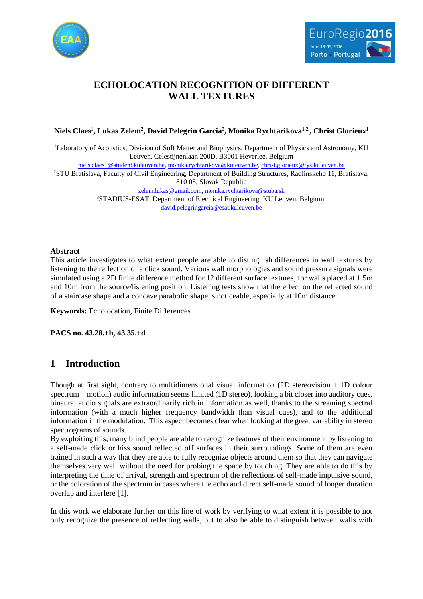



# **ECHOLOCATION RECOGNITION OF DIFFERENT WALL TEXTURES**

### **Niels Claes<sup>1</sup> , Lukas Zelem<sup>2</sup> , David Pelegrin Garcia<sup>3</sup> , Monika Rychtarikova1,2,, Christ Glorieux<sup>1</sup>**

<sup>1</sup>Laboratory of Acoustics, Division of Soft Matter and Biophysics, Department of Physics and Astronomy, KU Leuven, Celestijnenlaan 200D, B3001 Heverlee, Belgium

[niels.claes1@student.kuleuven.be,](mailto:niels.claes1@student.kuleuven.be) [monika.rychtarikova@kuleuven.be,](mailto:monika.rychtarikova@kuleuven.be) [christ.glorieux@fys.kuleuven.be](mailto:christ.glorieux@fys.kuleuven.be)

<sup>2</sup>STU Bratislava, Faculty of Civil Engineering, Department of Building Structures, Radlinskeho 11, Bratislava, 810 05, Slovak Republic

[zelem.lukas@gmail.com,](mailto:zelem.lukas@gmail.com) [monika.rychtarikova@stuba.sk](mailto:monika.rychtarikova@stuba.sk) <sup>3</sup>STADIUS-ESAT, Department of Electrical Engineering, KU Leuven, Belgium.

[david.pelegringarcia@esat.kuleuven.be](mailto:david.pelegringarcia@esat.kuleuven.be)

### **Abstract**

This article investigates to what extent people are able to distinguish differences in wall textures by listening to the reflection of a click sound. Various wall morphologies and sound pressure signals were simulated using a 2D finite difference method for 12 different surface textures, for walls placed at 1.5m and 10m from the source/listening position. Listening tests show that the effect on the reflected sound of a staircase shape and a concave parabolic shape is noticeable, especially at 10m distance.

**Keywords:** Echolocation, Finite Differences

**PACS no. 43.28.+h, 43.35.+d**

# **1 Introduction**

Though at first sight, contrary to multidimensional visual information (2D stereovision + 1D colour spectrum + motion) audio information seems limited (1D stereo), looking a bit closer into auditory cues, binaural audio signals are extraordinarily rich in information as well, thanks to the streaming spectral information (with a much higher frequency bandwidth than visual cues), and to the additional information in the modulation. This aspect becomes clear when looking at the great variability in stereo spectrograms of sounds.

By exploiting this, many blind people are able to recognize features of their environment by listening to a self-made click or hiss sound reflected off surfaces in their surroundings. Some of them are even trained in such a way that they are able to fully recognize objects around them so that they can navigate themselves very well without the need for probing the space by touching. They are able to do this by interpreting the time of arrival, strength and spectrum of the reflections of self-made impulsive sound, or the coloration of the spectrum in cases where the echo and direct self-made sound of longer duration overlap and interfere [1].

In this work we elaborate further on this line of work by verifying to what extent it is possible to not only recognize the presence of reflecting walls, but to also be able to distinguish between walls with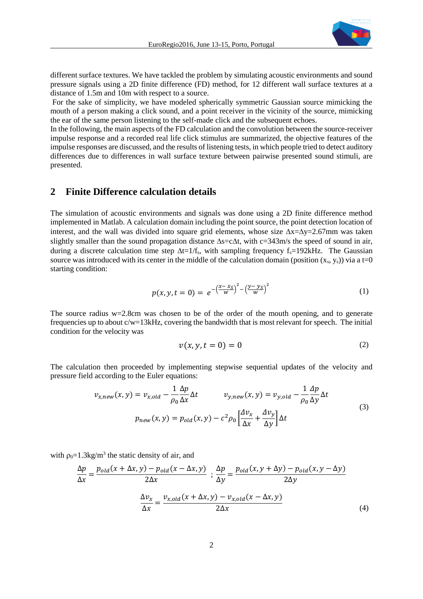

different surface textures. We have tackled the problem by simulating acoustic environments and sound pressure signals using a 2D finite difference (FD) method, for 12 different wall surface textures at a distance of 1.5m and 10m with respect to a source.

For the sake of simplicity, we have modeled spherically symmetric Gaussian source mimicking the mouth of a person making a click sound, and a point receiver in the vicinity of the source, mimicking the ear of the same person listening to the self-made click and the subsequent echoes.

In the following, the main aspects of the FD calculation and the convolution between the source-receiver impulse response and a recorded real life click stimulus are summarized, the objective features of the impulse responses are discussed, and the results of listening tests, in which people tried to detect auditory differences due to differences in wall surface texture between pairwise presented sound stimuli, are presented.

# **2 Finite Difference calculation details**

The simulation of acoustic environments and signals was done using a 2D finite difference method implemented in Matlab. A calculation domain including the point source, the point detection location of interest, and the wall was divided into square grid elements, whose size  $\Delta x = \Delta y = 2.67$ mm was taken slightly smaller than the sound propagation distance  $\Delta s = c \Delta t$ , with  $c = 343$ m/s the speed of sound in air, during a discrete calculation time step  $\Delta t=1/f_s$ , with sampling frequency  $f_s=192kHz$ . The Gaussian source was introduced with its center in the middle of the calculation domain (position  $(x_s, y_s)$ ) via a t=0 starting condition:

$$
p(x, y, t = 0) = e^{-\left(\frac{x - x_S}{w}\right)^2 - \left(\frac{y - y_S}{w}\right)^2}
$$
(1)

The source radius w=2.8cm was chosen to be of the order of the mouth opening, and to generate frequencies up to about c/w=13kHz, covering the bandwidth that is most relevant for speech. The initial condition for the velocity was

$$
v(x, y, t = 0) = 0 \tag{2}
$$

The calculation then proceeded by implementing stepwise sequential updates of the velocity and pressure field according to the Euler equations:

$$
v_{x,new}(x, y) = v_{x,old} - \frac{1}{\rho_0} \frac{\Delta p}{\Delta x} \Delta t \qquad v_{y,new}(x, y) = v_{y,old} - \frac{1}{\rho_0} \frac{\Delta p}{\Delta y} \Delta t
$$
  
\n
$$
p_{new}(x, y) = p_{old}(x, y) - c^2 \rho_0 \left[ \frac{\Delta v_x}{\Delta x} + \frac{\Delta v_y}{\Delta y} \right] \Delta t
$$
\n(3)

with  $\rho_0 = 1.3 \text{kg/m}^3$  the static density of air, and

$$
\frac{\Delta p}{\Delta x} = \frac{p_{old}(x + \Delta x, y) - p_{old}(x - \Delta x, y)}{2\Delta x} \; ; \; \frac{\Delta p}{\Delta y} = \frac{p_{old}(x, y + \Delta y) - p_{old}(x, y - \Delta y)}{2\Delta y}
$$

$$
\frac{\Delta v_x}{\Delta x} = \frac{v_{x,old}(x + \Delta x, y) - v_{x,old}(x - \Delta x, y)}{2\Delta x} \tag{4}
$$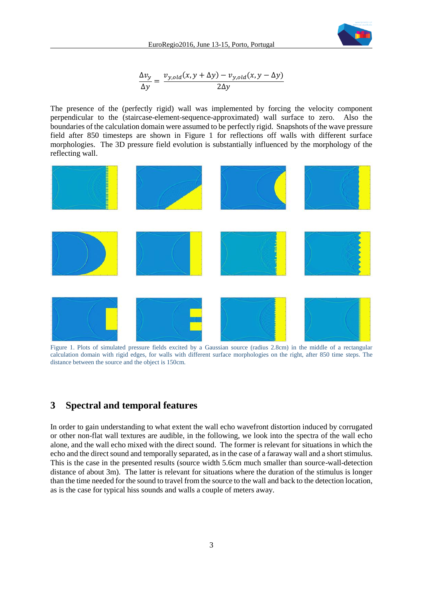

$$
\frac{\Delta v_y}{\Delta y} = \frac{v_{y,old}(x, y + \Delta y) - v_{y,old}(x, y - \Delta y)}{2\Delta y}
$$

The presence of the (perfectly rigid) wall was implemented by forcing the velocity component perpendicular to the (staircase-element-sequence-approximated) wall surface to zero. Also the boundaries of the calculation domain were assumed to be perfectly rigid. Snapshots of the wave pressure field after 850 timesteps are shown in Figure 1 for reflections off walls with different surface morphologies. The 3D pressure field evolution is substantially influenced by the morphology of the reflecting wall.



Figure 1. Plots of simulated pressure fields excited by a Gaussian source (radius 2.8cm) in the middle of a rectangular calculation domain with rigid edges, for walls with different surface morphologies on the right, after 850 time steps. The distance between the source and the object is 150cm.

# **3 Spectral and temporal features**

In order to gain understanding to what extent the wall echo wavefront distortion induced by corrugated or other non-flat wall textures are audible, in the following, we look into the spectra of the wall echo alone, and the wall echo mixed with the direct sound. The former is relevant for situations in which the echo and the direct sound and temporally separated, as in the case of a faraway wall and a short stimulus. This is the case in the presented results (source width 5.6cm much smaller than source-wall-detection distance of about 3m). The latter is relevant for situations where the duration of the stimulus is longer than the time needed for the sound to travel from the source to the wall and back to the detection location, as is the case for typical hiss sounds and walls a couple of meters away.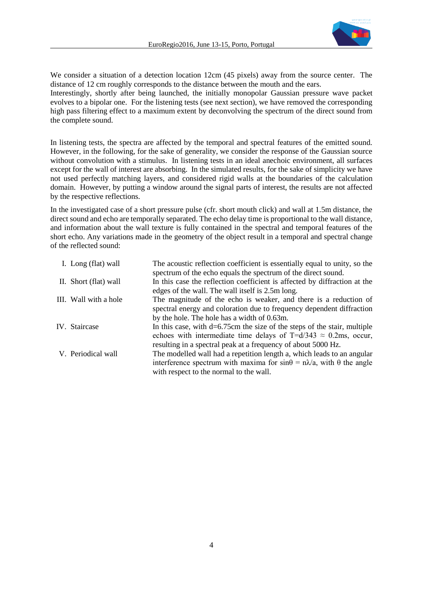

We consider a situation of a detection location 12cm (45 pixels) away from the source center. The distance of 12 cm roughly corresponds to the distance between the mouth and the ears.

Interestingly, shortly after being launched, the initially monopolar Gaussian pressure wave packet evolves to a bipolar one. For the listening tests (see next section), we have removed the corresponding high pass filtering effect to a maximum extent by deconvolving the spectrum of the direct sound from the complete sound.

In listening tests, the spectra are affected by the temporal and spectral features of the emitted sound. However, in the following, for the sake of generality, we consider the response of the Gaussian source without convolution with a stimulus. In listening tests in an ideal anechoic environment, all surfaces except for the wall of interest are absorbing. In the simulated results, for the sake of simplicity we have not used perfectly matching layers, and considered rigid walls at the boundaries of the calculation domain. However, by putting a window around the signal parts of interest, the results are not affected by the respective reflections.

In the investigated case of a short pressure pulse (cfr. short mouth click) and wall at 1.5m distance, the direct sound and echo are temporally separated. The echo delay time is proportional to the wall distance, and information about the wall texture is fully contained in the spectral and temporal features of the short echo. Any variations made in the geometry of the object result in a temporal and spectral change of the reflected sound:

| I. Long (flat) wall   | The acoustic reflection coefficient is essentially equal to unity, so the<br>spectrum of the echo equals the spectrum of the direct sound.                                                                              |
|-----------------------|-------------------------------------------------------------------------------------------------------------------------------------------------------------------------------------------------------------------------|
| II. Short (flat) wall | In this case the reflection coefficient is affected by diffraction at the<br>edges of the wall. The wall itself is 2.5m long.                                                                                           |
| III. Wall with a hole | The magnitude of the echo is weaker, and there is a reduction of<br>spectral energy and coloration due to frequency dependent diffraction<br>by the hole. The hole has a width of 0.63m.                                |
| IV. Staircase         | In this case, with $d=6.75$ cm the size of the steps of the stair, multiple<br>echoes with intermediate time delays of T=d/343 $\approx$ 0.2ms, occur,<br>resulting in a spectral peak at a frequency of about 5000 Hz. |
| V. Periodical wall    | The modelled wall had a repetition length a, which leads to an angular<br>interference spectrum with maxima for $sin\theta = n\lambda/a$ , with $\theta$ the angle<br>with respect to the normal to the wall.           |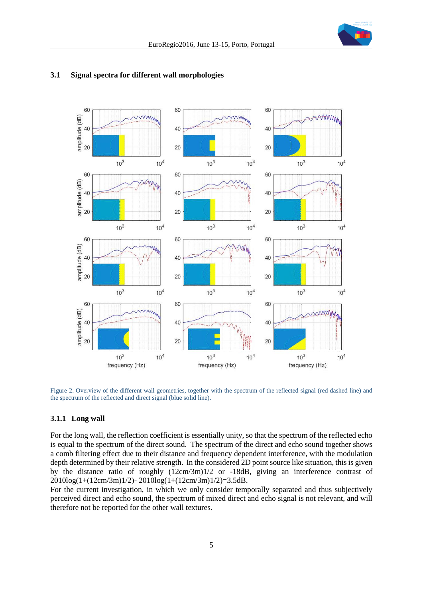



### **3.1 Signal spectra for different wall morphologies**

Figure 2. Overview of the different wall geometries, together with the spectrum of the reflected signal (red dashed line) and the spectrum of the reflected and direct signal (blue solid line).

### **3.1.1 Long wall**

For the long wall, the reflection coefficient is essentially unity, so that the spectrum of the reflected echo is equal to the spectrum of the direct sound. The spectrum of the direct and echo sound together shows a comb filtering effect due to their distance and frequency dependent interference, with the modulation depth determined by their relative strength. In the considered 2D point source like situation, this is given by the distance ratio of roughly (12cm/3m)1/2 or -18dB, giving an interference contrast of 2010log(1+(12cm/3m)1/2)- 2010log(1+(12cm/3m)1/2)=3.5dB.

For the current investigation, in which we only consider temporally separated and thus subjectively perceived direct and echo sound, the spectrum of mixed direct and echo signal is not relevant, and will therefore not be reported for the other wall textures.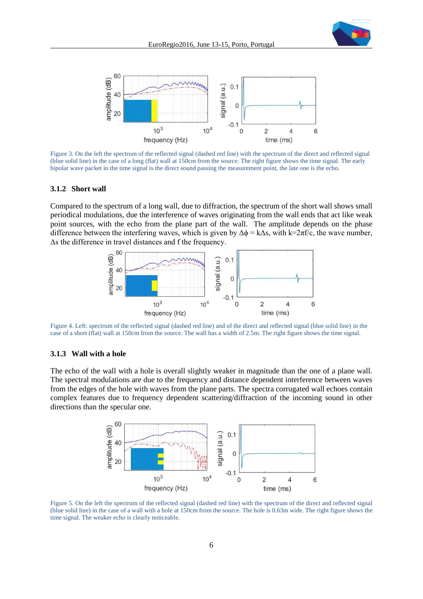



Figure 3. On the left the spectrum of the reflected signal (dashed red line) with the spectrum of the direct and reflected signal (blue solid line) in the case of a long (flat) wall at 150cm from the source. The right figure shows the time signal. The early bipolar wave packet in the time signal is the direct sound passing the measurement point, the late one is the echo.

#### **3.1.2 Short wall**

Compared to the spectrum of a long wall, due to diffraction, the spectrum of the short wall shows small periodical modulations, due the interference of waves originating from the wall ends that act like weak point sources, with the echo from the plane part of the wall. The amplitude depends on the phase difference between the interfering waves, which is given by  $\Delta \phi = k \Delta s$ , with  $k=2\pi f/c$ , the wave number, Δs the difference in travel distances and f the frequency.



Figure 4. Left: spectrum of the reflected signal (dashed red line) and of the direct and reflected signal (blue solid line) in the case of a short (flat) wall at 150cm from the source. The wall has a width of 2.5m. The right figure shows the time signal.

### **3.1.3 Wall with a hole**

The echo of the wall with a hole is overall slightly weaker in magnitude than the one of a plane wall. The spectral modulations are due to the frequency and distance dependent interference between waves from the edges of the hole with waves from the plane parts. The spectra corrugated wall echoes contain complex features due to frequency dependent scattering/diffraction of the incoming sound in other directions than the specular one.



Figure 5. On the left the spectrum of the reflected signal (dashed red line) with the spectrum of the direct and reflected signal (blue solid line) in the case of a wall with a hole at 150cm from the source. The hole is 0.63m wide. The right figure shows the time signal. The weaker echo is clearly noticeable.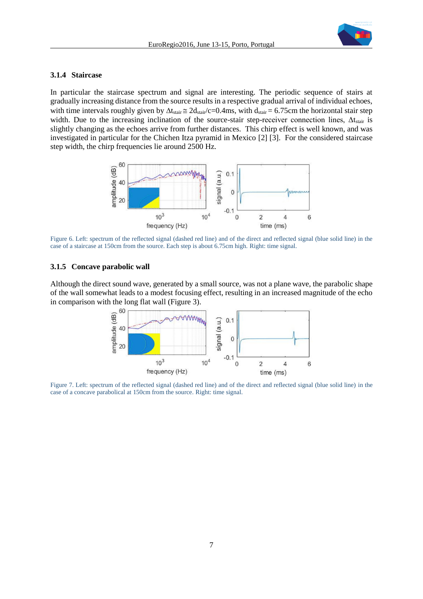

#### <span id="page-6-1"></span>**3.1.4 Staircase**

In particular the staircase spectrum and signal are interesting. The periodic sequence of stairs at gradually increasing distance from the source results in a respective gradual arrival of individual echoes, with time intervals roughly given by  $\Delta t_{\text{stair}} \approx 2d_{\text{stair}}/c=0.4$ ms, with  $d_{\text{stair}} = 6.75$ cm the horizontal stair step width. Due to the increasing inclination of the source-stair step-receiver connection lines,  $\Delta t_{\text{stair}}$  is slightly changing as the echoes arrive from further distances. This chirp effect is well known, and was investigated in particular for the Chichen Itza pyramid in Mexico [2] [3]. For the considered staircase step width, the chirp frequencies lie around 2500 Hz.



Figure 6. Left: spectrum of the reflected signal (dashed red line) and of the direct and reflected signal (blue solid line) in the case of a staircase at 150cm from the source. Each step is about 6.75cm high. Right: time signal.

#### **3.1.5 Concave parabolic wall**

Although the direct sound wave, generated by a small source, was not a plane wave, the parabolic shape of the wall somewhat leads to a modest focusing effect, resulting in an increased magnitude of the echo in comparison with the long flat wall (Figure 3).



<span id="page-6-0"></span>Figure 7. Left: spectrum of the reflected signal (dashed red line) and of the direct and reflected signal (blue solid line) in the case of a concave parabolical at 150cm from the source. Right: time signal.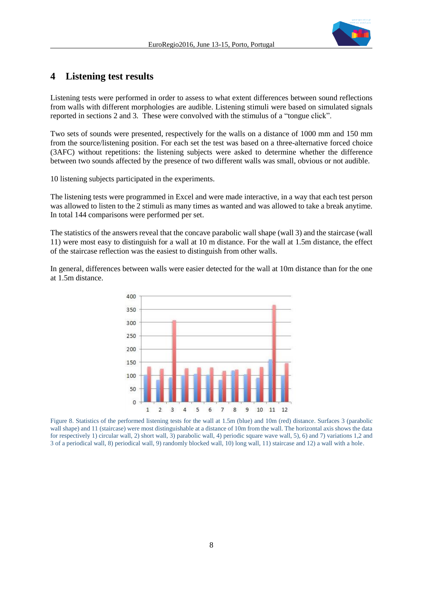

# **4 Listening test results**

Listening tests were performed in order to assess to what extent differences between sound reflections from walls with different morphologies are audible. Listening stimuli were based on simulated signals reported in sections 2 and 3. These were convolved with the stimulus of a "tongue click".

Two sets of sounds were presented, respectively for the walls on a distance of 1000 mm and 150 mm from the source/listening position. For each set the test was based on a three-alternative forced choice (3AFC) without repetitions: the listening subjects were asked to determine whether the difference between two sounds affected by the presence of two different walls was small, obvious or not audible.

10 listening subjects participated in the experiments.

The listening tests were programmed in Excel and were made interactive, in a way that each test person was allowed to listen to the 2 stimuli as many times as wanted and was allowed to take a break anytime. In total 144 comparisons were performed per set.

The statistics of the answers reveal that the concave parabolic wall shape (wall 3) and the staircase (wall 11) were most easy to distinguish for a wall at 10 m distance. For the wall at 1.5m distance, the effect of the staircase reflection was the easiest to distinguish from other walls.

In general, differences between walls were easier detected for the wall at 10m distance than for the one at 1.5m distance.



<span id="page-7-0"></span>Figure 8. Statistics of the performed listening tests for the wall at 1.5m (blue) and 10m (red) distance. Surfaces 3 (parabolic wall shape) and 11 (staircase) were most distinguishable at a distance of 10m from the wall. The horizontal axis shows the data for respectively 1) circular wall, 2) short wall, 3) parabolic wall, 4) periodic square wave wall, 5), 6) and 7) variations 1,2 and 3 of a periodical wall, 8) periodical wall, 9) randomly blocked wall, 10) long wall, 11) staircase and 12) a wall with a hole.